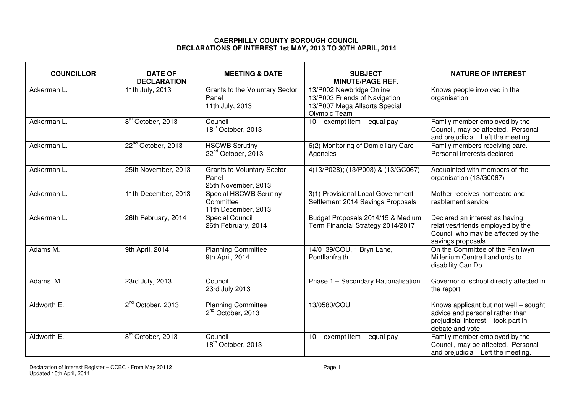## **CAERPHILLY COUNTY BOROUGH COUNCIL DECLARATIONS OF INTEREST 1st MAY, 2013 TO 30TH APRIL, 2014**

| <b>COUNCILLOR</b> | <b>DATE OF</b><br><b>DECLARATION</b> | <b>MEETING &amp; DATE</b>                                         | <b>SUBJECT</b><br><b>MINUTE/PAGE REF.</b>                                                                  | <b>NATURE OF INTEREST</b>                                                                                                          |
|-------------------|--------------------------------------|-------------------------------------------------------------------|------------------------------------------------------------------------------------------------------------|------------------------------------------------------------------------------------------------------------------------------------|
| Ackerman L.       | 11th July, 2013                      | <b>Grants to the Voluntary Sector</b><br>Panel<br>11th July, 2013 | 13/P002 Newbridge Online<br>13/P003 Friends of Navigation<br>13/P007 Mega Allsorts Special<br>Olympic Team | Knows people involved in the<br>organisation                                                                                       |
| Ackerman L.       | 8 <sup>th</sup> October, 2013        | Council<br>18 <sup>th</sup> October, 2013                         | $10 -$ exempt item $-$ equal pay                                                                           | Family member employed by the<br>Council, may be affected. Personal<br>and prejudicial. Left the meeting.                          |
| Ackerman L.       | 22 <sup>nd</sup> October, 2013       | <b>HSCWB</b> Scrutiny<br>22 <sup>nd</sup> October, 2013           | 6(2) Monitoring of Domiciliary Care<br>Agencies                                                            | Family members receiving care.<br>Personal interests declared                                                                      |
| Ackerman L.       | 25th November, 2013                  | <b>Grants to Voluntary Sector</b><br>Panel<br>25th November, 2013 | 4(13/P028); (13/P003) & (13/GC067)                                                                         | Acquainted with members of the<br>organisation (13/G0067)                                                                          |
| Ackerman L.       | 11th December, 2013                  | <b>Special HSCWB Scrutiny</b><br>Committee<br>11th December, 2013 | 3(1) Provisional Local Government<br>Settlement 2014 Savings Proposals                                     | Mother receives homecare and<br>reablement service                                                                                 |
| Ackerman L.       | 26th February, 2014                  | <b>Special Council</b><br>26th February, 2014                     | Budget Proposals 2014/15 & Medium<br>Term Financial Strategy 2014/2017                                     | Declared an interest as having<br>relatives/friends employed by the<br>Council who may be affected by the<br>savings proposals     |
| Adams M.          | 9th April, 2014                      | <b>Planning Committee</b><br>9th April, 2014                      | 14/0139/COU, 1 Bryn Lane,<br>Pontllanfraith                                                                | On the Committee of the Penllwyn<br>Millenium Centre Landlords to<br>disability Can Do                                             |
| Adams. M          | 23rd July, 2013                      | Council<br>23rd July 2013                                         | Phase 1 - Secondary Rationalisation                                                                        | Governor of school directly affected in<br>the report                                                                              |
| Aldworth E.       | 2 <sup>nd</sup> October, 2013        | <b>Planning Committee</b><br>2 <sup>nd</sup> October, 2013        | 13/0580/COU                                                                                                | Knows applicant but not well - sought<br>advice and personal rather than<br>prejudicial interest - took part in<br>debate and vote |
| Aldworth E.       | 8 <sup>th</sup> October, 2013        | Council<br>18 <sup>th</sup> October, 2013                         | $10 -$ exempt item $-$ equal pay                                                                           | Family member employed by the<br>Council, may be affected. Personal<br>and prejudicial. Left the meeting.                          |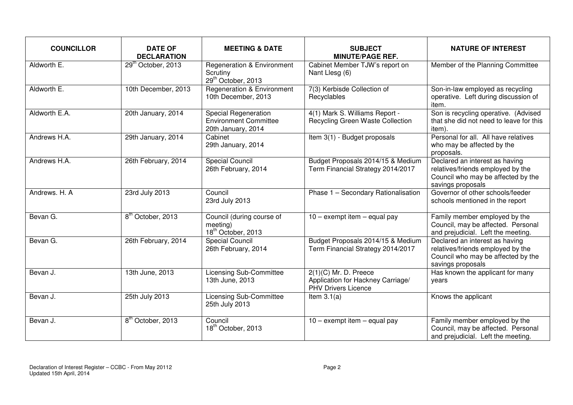| <b>COUNCILLOR</b> | <b>DATE OF</b><br><b>DECLARATION</b> | <b>MEETING &amp; DATE</b>                                                           | <b>SUBJECT</b><br><b>MINUTE/PAGE REF.</b>                                                  | <b>NATURE OF INTEREST</b>                                                                                                      |
|-------------------|--------------------------------------|-------------------------------------------------------------------------------------|--------------------------------------------------------------------------------------------|--------------------------------------------------------------------------------------------------------------------------------|
| Aldworth E.       | 29 <sup>th</sup> October, 2013       | <b>Regeneration &amp; Environment</b><br>Scrutiny<br>29 <sup>th</sup> October, 2013 | Cabinet Member TJW's report on<br>Nant Llesg (6)                                           | Member of the Planning Committee                                                                                               |
| Aldworth E.       | 10th December, 2013                  | <b>Regeneration &amp; Environment</b><br>10th December, 2013                        | 7(3) Kerbisde Collection of<br>Recyclables                                                 | Son-in-law employed as recycling<br>operative. Left during discussion of<br>item.                                              |
| Aldworth E.A.     | 20th January, 2014                   | <b>Special Regeneration</b><br><b>Environment Committee</b><br>20th January, 2014   | 4(1) Mark S. Williams Report -<br>Recycling Green Waste Collection                         | Son is recycling operative. (Advised<br>that she did not need to leave for this<br>item).                                      |
| Andrews H.A.      | 29th January, 2014                   | Cabinet<br>29th January, 2014                                                       | Item 3(1) - Budget proposals                                                               | Personal for all. All have relatives<br>who may be affected by the<br>proposals.                                               |
| Andrews H.A.      | 26th February, 2014                  | Special Council<br>26th February, 2014                                              | Budget Proposals 2014/15 & Medium<br>Term Financial Strategy 2014/2017                     | Declared an interest as having<br>relatives/friends employed by the<br>Council who may be affected by the<br>savings proposals |
| Andrews, H. A.    | 23rd July 2013                       | Council<br>23rd July 2013                                                           | Phase 1 - Secondary Rationalisation                                                        | Governor of other schools/feeder<br>schools mentioned in the report                                                            |
| Bevan G.          | 8 <sup>th</sup> October, 2013        | Council (during course of<br>meeting)<br>18 <sup>th</sup> October, 2013             | $10 -$ exempt item $-$ equal pay                                                           | Family member employed by the<br>Council, may be affected. Personal<br>and prejudicial. Left the meeting.                      |
| Bevan G.          | 26th February, 2014                  | <b>Special Council</b><br>26th February, 2014                                       | Budget Proposals 2014/15 & Medium<br>Term Financial Strategy 2014/2017                     | Declared an interest as having<br>relatives/friends employed by the<br>Council who may be affected by the<br>savings proposals |
| Bevan J.          | 13th June, 2013                      | <b>Licensing Sub-Committee</b><br>13th June, 2013                                   | $2(1)(C)$ Mr. D. Preece<br>Application for Hackney Carriage/<br><b>PHV Drivers Licence</b> | Has known the applicant for many<br>years                                                                                      |
| Bevan J.          | 25th July 2013                       | <b>Licensing Sub-Committee</b><br>25th July 2013                                    | Item $3.1(a)$                                                                              | Knows the applicant                                                                                                            |
| Bevan J.          | 8 <sup>th</sup> October, 2013        | Council<br>18 <sup>th</sup> October, 2013                                           | $10 -$ exempt item $-$ equal pay                                                           | Family member employed by the<br>Council, may be affected. Personal<br>and prejudicial. Left the meeting.                      |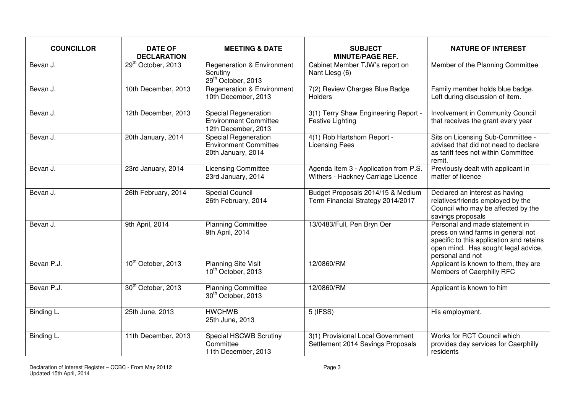| <b>COUNCILLOR</b> | <b>DATE OF</b><br><b>DECLARATION</b> | <b>MEETING &amp; DATE</b>                                                           | <b>SUBJECT</b><br><b>MINUTE/PAGE REF.</b>                                   | <b>NATURE OF INTEREST</b>                                                                                                                                                   |
|-------------------|--------------------------------------|-------------------------------------------------------------------------------------|-----------------------------------------------------------------------------|-----------------------------------------------------------------------------------------------------------------------------------------------------------------------------|
| Bevan J.          | 29 <sup>th</sup> October, 2013       | <b>Regeneration &amp; Environment</b><br>Scrutiny<br>29 <sup>th</sup> October, 2013 | Cabinet Member TJW's report on<br>Nant Llesg (6)                            | Member of the Planning Committee                                                                                                                                            |
| Bevan J.          | 10th December, 2013                  | <b>Regeneration &amp; Environment</b><br>10th December, 2013                        | 7(2) Review Charges Blue Badge<br><b>Holders</b>                            | Family member holds blue badge.<br>Left during discussion of item.                                                                                                          |
| Bevan J.          | 12th December, 2013                  | Special Regeneration<br><b>Environment Committee</b><br>12th December, 2013         | 3(1) Terry Shaw Engineering Report -<br><b>Festive Lighting</b>             | Involvement in Community Council<br>that receives the grant every year                                                                                                      |
| Bevan J.          | 20th January, 2014                   | <b>Special Regeneration</b><br><b>Environment Committee</b><br>20th January, 2014   | 4(1) Rob Hartshorn Report -<br><b>Licensing Fees</b>                        | Sits on Licensing Sub-Committee -<br>advised that did not need to declare<br>as tariff fees not within Committee<br>remit.                                                  |
| Bevan J.          | 23rd January, 2014                   | <b>Licensing Committee</b><br>23rd January, 2014                                    | Agenda Item 3 - Application from P.S.<br>Withers - Hackney Carriage Licence | Previously dealt with applicant in<br>matter of licence                                                                                                                     |
| Bevan J.          | 26th February, 2014                  | Special Council<br>26th February, 2014                                              | Budget Proposals 2014/15 & Medium<br>Term Financial Strategy 2014/2017      | Declared an interest as having<br>relatives/friends employed by the<br>Council who may be affected by the<br>savings proposals                                              |
| Bevan J.          | 9th April, 2014                      | <b>Planning Committee</b><br>9th April, 2014                                        | 13/0483/Full, Pen Bryn Oer                                                  | Personal and made statement in<br>press on wind farms in general not<br>specific to this application and retains<br>open mind. Has sought legal advice,<br>personal and not |
| Bevan P.J.        | 10 <sup>th</sup> October, 2013       | <b>Planning Site Visit</b><br>10 <sup>th</sup> October, 2013                        | 12/0860/RM                                                                  | Applicant is known to them, they are<br>Members of Caerphilly RFC                                                                                                           |
| Bevan P.J.        | 30 <sup>th</sup> October, 2013       | <b>Planning Committee</b><br>30 <sup>th</sup> October, 2013                         | 12/0860/RM                                                                  | Applicant is known to him                                                                                                                                                   |
| Binding L.        | 25th June, 2013                      | <b>HWCHWB</b><br>25th June, 2013                                                    | 5 (IFSS)                                                                    | His employment.                                                                                                                                                             |
| Binding L.        | 11th December, 2013                  | Special HSCWB Scrutiny<br>Committee<br>11th December, 2013                          | 3(1) Provisional Local Government<br>Settlement 2014 Savings Proposals      | Works for RCT Council which<br>provides day services for Caerphilly<br>residents                                                                                            |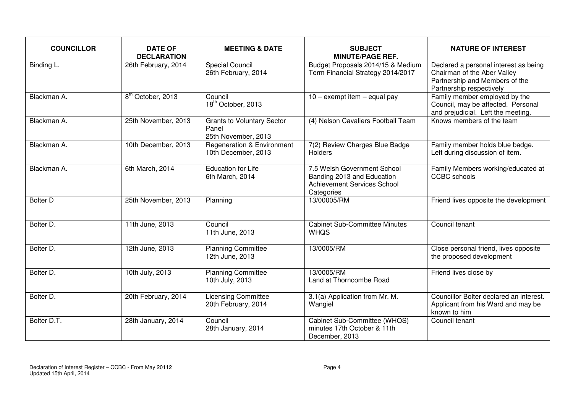| <b>COUNCILLOR</b> | <b>DATE OF</b><br><b>DECLARATION</b> | <b>MEETING &amp; DATE</b>                                         | <b>SUBJECT</b><br><b>MINUTE/PAGE REF.</b>                                                              | <b>NATURE OF INTEREST</b>                                                                                                          |
|-------------------|--------------------------------------|-------------------------------------------------------------------|--------------------------------------------------------------------------------------------------------|------------------------------------------------------------------------------------------------------------------------------------|
| Binding L.        | 26th February, 2014                  | <b>Special Council</b><br>26th February, 2014                     | Budget Proposals 2014/15 & Medium<br>Term Financial Strategy 2014/2017                                 | Declared a personal interest as being<br>Chairman of the Aber Valley<br>Partnership and Members of the<br>Partnership respectively |
| Blackman A.       | 8 <sup>th</sup> October, 2013        | Council<br>18 <sup>th</sup> October, 2013                         | $\overline{10}$ – exempt item – equal pay                                                              | Family member employed by the<br>Council, may be affected. Personal<br>and prejudicial. Left the meeting.                          |
| Blackman A.       | 25th November, 2013                  | <b>Grants to Voluntary Sector</b><br>Panel<br>25th November, 2013 | (4) Nelson Cavaliers Football Team                                                                     | Knows members of the team                                                                                                          |
| Blackman A.       | 10th December, 2013                  | <b>Regeneration &amp; Environment</b><br>10th December, 2013      | 7(2) Review Charges Blue Badge<br>Holders                                                              | Family member holds blue badge.<br>Left during discussion of item.                                                                 |
| Blackman A.       | 6th March, 2014                      | <b>Education for Life</b><br>6th March, 2014                      | 7.5 Welsh Government School<br>Banding 2013 and Education<br>Achievement Services School<br>Categories | Family Members working/educated at<br><b>CCBC</b> schools                                                                          |
| <b>Bolter D</b>   | 25th November, 2013                  | Planning                                                          | 13/00005/RM                                                                                            | Friend lives opposite the development                                                                                              |
| Bolter D.         | 11th June, 2013                      | Council<br>11th June, 2013                                        | <b>Cabinet Sub-Committee Minutes</b><br><b>WHQS</b>                                                    | Council tenant                                                                                                                     |
| Bolter D.         | 12th June, 2013                      | <b>Planning Committee</b><br>12th June, 2013                      | 13/0005/RM                                                                                             | Close personal friend, lives opposite<br>the proposed development                                                                  |
| Bolter D.         | 10th July, 2013                      | <b>Planning Committee</b><br>10th July, 2013                      | 13/0005/RM<br>Land at Thorncombe Road                                                                  | Friend lives close by                                                                                                              |
| Bolter D.         | 20th February, 2014                  | <b>Licensing Committee</b><br>20th February, 2014                 | 3.1(a) Application from Mr. M.<br>Wangiel                                                              | Councillor Bolter declared an interest.<br>Applicant from his Ward and may be<br>known to him                                      |
| Bolter D.T.       | 28th January, 2014                   | Council<br>28th January, 2014                                     | Cabinet Sub-Committee (WHQS)<br>minutes 17th October & 11th<br>December, 2013                          | Council tenant                                                                                                                     |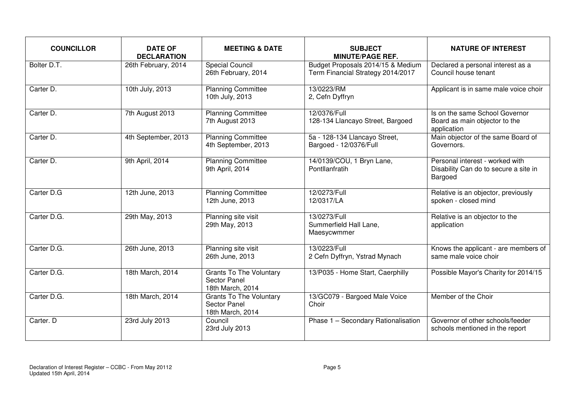| <b>COUNCILLOR</b> | <b>DATE OF</b><br><b>DECLARATION</b> | <b>MEETING &amp; DATE</b>                                                 | <b>SUBJECT</b><br><b>MINUTE/PAGE REF.</b>                              | <b>NATURE OF INTEREST</b>                                                           |
|-------------------|--------------------------------------|---------------------------------------------------------------------------|------------------------------------------------------------------------|-------------------------------------------------------------------------------------|
| Bolter D.T.       | 26th February, 2014                  | <b>Special Council</b><br>26th February, 2014                             | Budget Proposals 2014/15 & Medium<br>Term Financial Strategy 2014/2017 | Declared a personal interest as a<br>Council house tenant                           |
| Carter D.         | 10th July, 2013                      | <b>Planning Committee</b><br>10th July, 2013                              | 13/0223/RM<br>2, Cefn Dyffryn                                          | Applicant is in same male voice choir                                               |
| Carter D.         | 7th August 2013                      | <b>Planning Committee</b><br>7th August 2013                              | 12/0376/Full<br>128-134 Llancayo Street, Bargoed                       | Is on the same School Governor<br>Board as main objector to the<br>application      |
| Carter D.         | 4th September, 2013                  | <b>Planning Committee</b><br>4th September, 2013                          | 5a - 128-134 Llancayo Street,<br>Bargoed - 12/0376/Full                | Main objector of the same Board of<br>Governors.                                    |
| Carter D.         | 9th April, 2014                      | <b>Planning Committee</b><br>9th April, 2014                              | 14/0139/COU, 1 Bryn Lane,<br>Pontllanfratih                            | Personal interest - worked with<br>Disability Can do to secure a site in<br>Bargoed |
| Carter D.G        | 12th June, 2013                      | <b>Planning Committee</b><br>12th June, 2013                              | 12/0273/Full<br>12/0317/LA                                             | Relative is an objector, previously<br>spoken - closed mind                         |
| Carter D.G.       | 29th May, 2013                       | Planning site visit<br>29th May, 2013                                     | 13/0273/Full<br>Summerfield Hall Lane,<br>Maesycwmmer                  | Relative is an objector to the<br>application                                       |
| Carter D.G.       | 26th June, 2013                      | Planning site visit<br>26th June, 2013                                    | 13/0223/Full<br>2 Cefn Dyffryn, Ystrad Mynach                          | Knows the applicant - are members of<br>same male voice choir                       |
| Carter D.G.       | 18th March, 2014                     | <b>Grants To The Voluntary</b><br><b>Sector Panel</b><br>18th March, 2014 | 13/P035 - Home Start, Caerphilly                                       | Possible Mayor's Charity for 2014/15                                                |
| Carter D.G.       | 18th March, 2014                     | <b>Grants To The Voluntary</b><br><b>Sector Panel</b><br>18th March, 2014 | 13/GC079 - Bargoed Male Voice<br>Choir                                 | Member of the Choir                                                                 |
| Carter. D         | 23rd July 2013                       | Council<br>23rd July 2013                                                 | Phase 1 - Secondary Rationalisation                                    | Governor of other schools/feeder<br>schools mentioned in the report                 |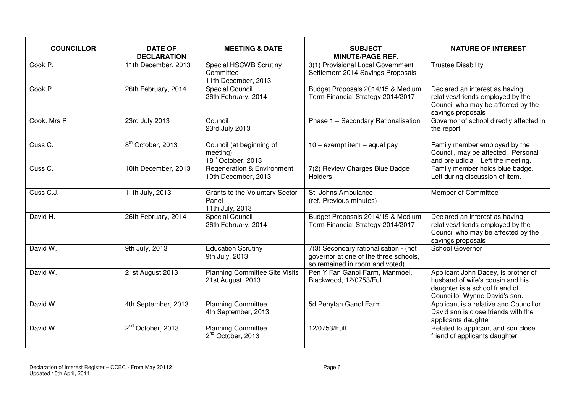| <b>COUNCILLOR</b> | <b>DATE OF</b><br><b>DECLARATION</b> | <b>MEETING &amp; DATE</b>                                              | <b>SUBJECT</b><br><b>MINUTE/PAGE REF.</b>                                                                        | <b>NATURE OF INTEREST</b>                                                                                                                  |
|-------------------|--------------------------------------|------------------------------------------------------------------------|------------------------------------------------------------------------------------------------------------------|--------------------------------------------------------------------------------------------------------------------------------------------|
| Cook P.           | 11th December, 2013                  | <b>Special HSCWB Scrutiny</b><br>Committee<br>11th December, 2013      | 3(1) Provisional Local Government<br>Settlement 2014 Savings Proposals                                           | <b>Trustee Disability</b>                                                                                                                  |
| Cook P.           | 26th February, 2014                  | Special Council<br>26th February, 2014                                 | Budget Proposals 2014/15 & Medium<br>Term Financial Strategy 2014/2017                                           | Declared an interest as having<br>relatives/friends employed by the<br>Council who may be affected by the<br>savings proposals             |
| Cook, Mrs P       | 23rd July 2013                       | Council<br>23rd July 2013                                              | Phase 1 - Secondary Rationalisation                                                                              | Governor of school directly affected in<br>the report                                                                                      |
| Cuss C.           | 8 <sup>th</sup> October, 2013        | Council (at beginning of<br>meeting)<br>18 <sup>th</sup> October, 2013 | $10 -$ exempt item $-$ equal pay                                                                                 | Family member employed by the<br>Council, may be affected. Personal<br>and prejudicial. Left the meeting.                                  |
| Cuss C.           | 10th December, 2013                  | <b>Regeneration &amp; Environment</b><br>10th December, 2013           | 7(2) Review Charges Blue Badge<br>Holders                                                                        | Family member holds blue badge.<br>Left during discussion of item.                                                                         |
| Cuss C.J.         | 11th July, 2013                      | Grants to the Voluntary Sector<br>Panel<br>11th July, 2013             | St. Johns Ambulance<br>(ref. Previous minutes)                                                                   | Member of Committee                                                                                                                        |
| David H.          | 26th February, 2014                  | <b>Special Council</b><br>26th February, 2014                          | Budget Proposals 2014/15 & Medium<br>Term Financial Strategy 2014/2017                                           | Declared an interest as having<br>relatives/friends employed by the<br>Council who may be affected by the<br>savings proposals             |
| David W.          | 9th July, 2013                       | <b>Education Scrutiny</b><br>9th July, 2013                            | 7(3) Secondary rationalisation - (not<br>governor at one of the three schools,<br>so remained in room and voted) | School Governor                                                                                                                            |
| David W.          | 21st August 2013                     | <b>Planning Committee Site Visits</b><br>21st August, 2013             | Pen Y Fan Ganol Farm, Manmoel,<br>Blackwood, 12/0753/Full                                                        | Applicant John Dacey, is brother of<br>husband of wife's cousin and his<br>daughter is a school friend of<br>Councillor Wynne David's son. |
| David W.          | 4th September, 2013                  | <b>Planning Committee</b><br>4th September, 2013                       | 5d Penyfan Ganol Farm                                                                                            | Applicant is a relative and Councillor<br>David son is close friends with the<br>applicants daughter                                       |
| David W.          | 2 <sup>nd</sup> October, 2013        | <b>Planning Committee</b><br>2 <sup>nd</sup> October, 2013             | 12/0753/Full                                                                                                     | Related to applicant and son close<br>friend of applicants daughter                                                                        |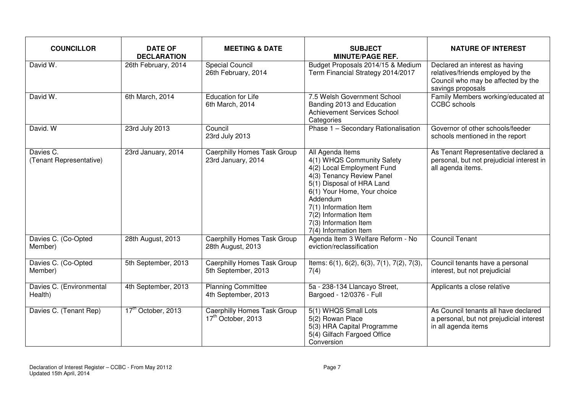| <b>COUNCILLOR</b>                    | <b>DATE OF</b><br><b>DECLARATION</b> | <b>MEETING &amp; DATE</b>                                            | <b>SUBJECT</b><br><b>MINUTE/PAGE REF.</b>                                                                                                                                                                                                                                             | <b>NATURE OF INTEREST</b>                                                                                                      |
|--------------------------------------|--------------------------------------|----------------------------------------------------------------------|---------------------------------------------------------------------------------------------------------------------------------------------------------------------------------------------------------------------------------------------------------------------------------------|--------------------------------------------------------------------------------------------------------------------------------|
| David W.                             | 26th February, 2014                  | <b>Special Council</b><br>26th February, 2014                        | Budget Proposals 2014/15 & Medium<br>Term Financial Strategy 2014/2017                                                                                                                                                                                                                | Declared an interest as having<br>relatives/friends employed by the<br>Council who may be affected by the<br>savings proposals |
| David W.                             | 6th March, 2014                      | <b>Education for Life</b><br>6th March, 2014                         | 7.5 Welsh Government School<br>Banding 2013 and Education<br><b>Achievement Services School</b><br>Categories                                                                                                                                                                         | Family Members working/educated at<br><b>CCBC</b> schools                                                                      |
| David. W                             | 23rd July 2013                       | Council<br>23rd July 2013                                            | Phase 1 - Secondary Rationalisation                                                                                                                                                                                                                                                   | Governor of other schools/feeder<br>schools mentioned in the report                                                            |
| Davies C.<br>(Tenant Representative) | 23rd January, 2014                   | <b>Caerphilly Homes Task Group</b><br>23rd January, 2014             | All Agenda Items<br>4(1) WHQS Community Safety<br>4(2) Local Employment Fund<br>4(3) Tenancy Review Panel<br>5(1) Disposal of HRA Land<br>6(1) Your Home, Your choice<br>Addendum<br>7(1) Information Item<br>7(2) Information Item<br>7(3) Information Item<br>7(4) Information Item | As Tenant Representative declared a<br>personal, but not prejudicial interest in<br>all agenda items.                          |
| Davies C. (Co-Opted<br>Member)       | 28th August, 2013                    | <b>Caerphilly Homes Task Group</b><br>28th August, 2013              | Agenda Item 3 Welfare Reform - No<br>eviction/reclassification                                                                                                                                                                                                                        | <b>Council Tenant</b>                                                                                                          |
| Davies C. (Co-Opted<br>Member)       | 5th September, 2013                  | Caerphilly Homes Task Group<br>5th September, 2013                   | Items: 6(1), 6(2), 6(3), 7(1), 7(2), 7(3),<br>7(4)                                                                                                                                                                                                                                    | Council tenants have a personal<br>interest, but not prejudicial                                                               |
| Davies C. (Environmental<br>Health)  | 4th September, 2013                  | <b>Planning Committee</b><br>4th September, 2013                     | 5a - 238-134 Llancayo Street,<br>Bargoed - 12/0376 - Full                                                                                                                                                                                                                             | Applicants a close relative                                                                                                    |
| Davies C. (Tenant Rep)               | 17 <sup>th</sup> October, 2013       | <b>Caerphilly Homes Task Group</b><br>17 <sup>th</sup> October, 2013 | 5(1) WHQS Small Lots<br>5(2) Rowan Place<br>5(3) HRA Capital Programme<br>5(4) Gilfach Fargoed Office<br>Conversion                                                                                                                                                                   | As Council tenants all have declared<br>a personal, but not prejudicial interest<br>in all agenda items                        |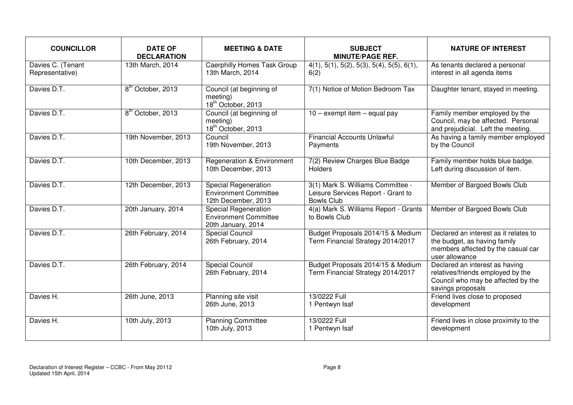| <b>COUNCILLOR</b>                    | <b>DATE OF</b><br><b>DECLARATION</b> | <b>MEETING &amp; DATE</b>                                                   | <b>SUBJECT</b><br><b>MINUTE/PAGE REF.</b>                                                    | <b>NATURE OF INTEREST</b>                                                                                                      |
|--------------------------------------|--------------------------------------|-----------------------------------------------------------------------------|----------------------------------------------------------------------------------------------|--------------------------------------------------------------------------------------------------------------------------------|
| Davies C. (Tenant<br>Representative) | 13th March, 2014                     | <b>Caerphilly Homes Task Group</b><br>13th March, 2014                      | $\overline{4(1)}$ , 5(1), 5(2), 5(3), 5(4), 5(5), 6(1),<br>6(2)                              | As tenants declared a personal<br>interest in all agenda items                                                                 |
| Davies D.T.                          | 8 <sup>th</sup> October, 2013        | Council (at beginning of<br>meeting)<br>18 <sup>th</sup> October, 2013      | 7(1) Notice of Motion Bedroom Tax                                                            | Daughter tenant, stayed in meeting.                                                                                            |
| Davies D.T.                          | 8 <sup>th</sup> October, 2013        | Council (at beginning of<br>meeting)<br>18 <sup>th</sup> October, 2013      | $10 -$ exempt item $-$ equal pay                                                             | Family member employed by the<br>Council, may be affected. Personal<br>and prejudicial. Left the meeting.                      |
| Davies D.T.                          | 19th November, 2013                  | Council<br>19th November, 2013                                              | <b>Financial Accounts Unlawful</b><br>Payments                                               | As having a family member employed<br>by the Council                                                                           |
| Davies D.T.                          | 10th December, 2013                  | <b>Regeneration &amp; Environment</b><br>10th December, 2013                | 7(2) Review Charges Blue Badge<br>Holders                                                    | Family member holds blue badge.<br>Left during discussion of item.                                                             |
| Davies D.T.                          | 12th December, 2013                  | Special Regeneration<br><b>Environment Committee</b><br>12th December, 2013 | 3(1) Mark S. Williams Committee -<br>Leisure Services Report - Grant to<br><b>Bowls Club</b> | Member of Bargoed Bowls Club                                                                                                   |
| Davies D.T.                          | 20th January, 2014                   | Special Regeneration<br><b>Environment Committee</b><br>20th January, 2014  | 4(a) Mark S. Williams Report - Grants<br>to Bowls Club                                       | Member of Bargoed Bowls Club                                                                                                   |
| Davies D.T.                          | 26th February, 2014                  | <b>Special Council</b><br>26th February, 2014                               | Budget Proposals 2014/15 & Medium<br>Term Financial Strategy 2014/2017                       | Declared an interest as it relates to<br>the budget, as having family<br>members affected by the casual car<br>user allowance  |
| Davies D.T.                          | 26th February, 2014                  | Special Council<br>26th February, 2014                                      | Budget Proposals 2014/15 & Medium<br>Term Financial Strategy 2014/2017                       | Declared an interest as having<br>relatives/friends employed by the<br>Council who may be affected by the<br>savings proposals |
| Davies H.                            | 26th June, 2013                      | Planning site visit<br>26th June, 2013                                      | 13/0222 Full<br>1 Pentwyn Isaf                                                               | Friend lives close to proposed<br>development                                                                                  |
| Davies H.                            | 10th July, 2013                      | <b>Planning Committee</b><br>10th July, 2013                                | 13/0222 Full<br>1 Pentwyn Isaf                                                               | Friend lives in close proximity to the<br>development                                                                          |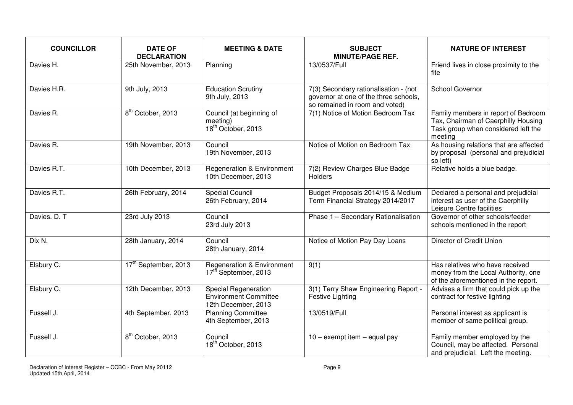| <b>COUNCILLOR</b> | <b>DATE OF</b><br><b>DECLARATION</b> | <b>MEETING &amp; DATE</b>                                                          | <b>SUBJECT</b><br><b>MINUTE/PAGE REF.</b>                                                                        | <b>NATURE OF INTEREST</b>                                                                                                    |
|-------------------|--------------------------------------|------------------------------------------------------------------------------------|------------------------------------------------------------------------------------------------------------------|------------------------------------------------------------------------------------------------------------------------------|
| Davies H.         | 25th November, 2013                  | Planning                                                                           | 13/0537/Full                                                                                                     | Friend lives in close proximity to the<br>fite                                                                               |
| Davies H.R.       | 9th July, 2013                       | <b>Education Scrutiny</b><br>9th July, 2013                                        | 7(3) Secondary rationalisation - (not<br>governor at one of the three schools,<br>so remained in room and voted) | School Governor                                                                                                              |
| Davies R.         | 8 <sup>th</sup> October, 2013        | Council (at beginning of<br>meeting)<br>18 <sup>th</sup> October, 2013             | 7(1) Notice of Motion Bedroom Tax                                                                                | Family members in report of Bedroom<br>Tax, Chairman of Caerphilly Housing<br>Task group when considered left the<br>meeting |
| Davies R.         | 19th November, 2013                  | Council<br>19th November, 2013                                                     | Notice of Motion on Bedroom Tax                                                                                  | As housing relations that are affected<br>by proposal (personal and prejudicial<br>so left)                                  |
| Davies R.T.       | 10th December, 2013                  | <b>Regeneration &amp; Environment</b><br>10th December, 2013                       | 7(2) Review Charges Blue Badge<br>Holders                                                                        | Relative holds a blue badge.                                                                                                 |
| Davies R.T.       | 26th February, 2014                  | <b>Special Council</b><br>26th February, 2014                                      | Budget Proposals 2014/15 & Medium<br>Term Financial Strategy 2014/2017                                           | Declared a personal and prejudicial<br>interest as user of the Caerphilly<br>Leisure Centre facilities                       |
| Davies. D. T      | 23rd July 2013                       | Council<br>23rd July 2013                                                          | Phase 1 - Secondary Rationalisation                                                                              | Governor of other schools/feeder<br>schools mentioned in the report                                                          |
| Dix N.            | 28th January, 2014                   | Council<br>28th January, 2014                                                      | Notice of Motion Pay Day Loans                                                                                   | Director of Credit Union                                                                                                     |
| Elsbury C.        | 17 <sup>th</sup> September, 2013     | <b>Regeneration &amp; Environment</b><br>17 <sup>th</sup> September, 2013          | 9(1)                                                                                                             | Has relatives who have received<br>money from the Local Authority, one<br>of the aforementioned in the report.               |
| Elsbury C.        | 12th December, 2013                  | <b>Special Regeneration</b><br><b>Environment Committee</b><br>12th December, 2013 | 3(1) Terry Shaw Engineering Report -<br><b>Festive Lighting</b>                                                  | Advises a firm that could pick up the<br>contract for festive lighting                                                       |
| Fussell J.        | 4th September, 2013                  | <b>Planning Committee</b><br>4th September, 2013                                   | 13/0519/Full                                                                                                     | Personal interest as applicant is<br>member of same political group.                                                         |
| Fussell J.        | 8 <sup>th</sup> October, 2013        | Council<br>18 <sup>th</sup> October, 2013                                          | $10 -$ exempt item $-$ equal pay                                                                                 | Family member employed by the<br>Council, may be affected. Personal<br>and prejudicial. Left the meeting.                    |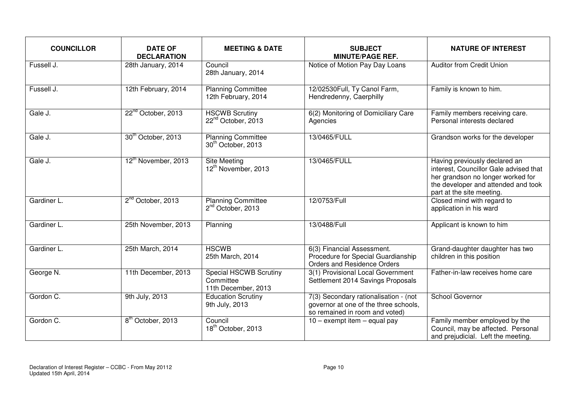| <b>COUNCILLOR</b> | <b>DATE OF</b><br><b>DECLARATION</b> | <b>MEETING &amp; DATE</b>                                   | <b>SUBJECT</b><br><b>MINUTE/PAGE REF.</b>                                                                        | <b>NATURE OF INTEREST</b>                                                                                                                                                        |
|-------------------|--------------------------------------|-------------------------------------------------------------|------------------------------------------------------------------------------------------------------------------|----------------------------------------------------------------------------------------------------------------------------------------------------------------------------------|
| Fussell J.        | 28th January, 2014                   | Council<br>28th January, 2014                               | Notice of Motion Pay Day Loans                                                                                   | <b>Auditor from Credit Union</b>                                                                                                                                                 |
| Fussell J.        | 12th February, 2014                  | <b>Planning Committee</b><br>12th February, 2014            | 12/02530Full, Ty Canol Farm,<br>Hendredenny, Caerphilly                                                          | Family is known to him.                                                                                                                                                          |
| Gale J.           | 22 <sup>nd</sup> October, 2013       | <b>HSCWB Scrutiny</b><br>22 <sup>nd</sup> October, 2013     | 6(2) Monitoring of Domiciliary Care<br>Agencies                                                                  | Family members receiving care.<br>Personal interests declared                                                                                                                    |
| Gale J.           | 30 <sup>th</sup> October, 2013       | <b>Planning Committee</b><br>30 <sup>th</sup> October, 2013 | 13/0465/FULL                                                                                                     | Grandson works for the developer                                                                                                                                                 |
| Gale J.           | 12 <sup>th</sup> November, 2013      | Site Meeting<br>12 <sup>th</sup> November, 2013             | 13/0465/FULL                                                                                                     | Having previously declared an<br>interest, Councillor Gale advised that<br>her grandson no longer worked for<br>the developer and attended and took<br>part at the site meeting. |
| Gardiner L.       | 2 <sup>nd</sup> October, 2013        | <b>Planning Committee</b><br>2 <sup>nd</sup> October, 2013  | 12/0753/Full                                                                                                     | Closed mind with regard to<br>application in his ward                                                                                                                            |
| Gardiner L.       | 25th November, 2013                  | Planning                                                    | 13/0488/Full                                                                                                     | Applicant is known to him                                                                                                                                                        |
| Gardiner L.       | 25th March, 2014                     | <b>HSCWB</b><br>25th March, 2014                            | 6(3) Financial Assessment.<br>Procedure for Special Guardianship<br><b>Orders and Residence Orders</b>           | Grand-daughter daughter has two<br>children in this position                                                                                                                     |
| George N.         | 11th December, 2013                  | Special HSCWB Scrutiny<br>Committee<br>11th December, 2013  | 3(1) Provisional Local Government<br>Settlement 2014 Savings Proposals                                           | Father-in-law receives home care                                                                                                                                                 |
| Gordon C.         | 9th July, 2013                       | <b>Education Scrutiny</b><br>9th July, 2013                 | 7(3) Secondary rationalisation - (not<br>governor at one of the three schools,<br>so remained in room and voted) | School Governor                                                                                                                                                                  |
| Gordon C.         | 8 <sup>th</sup> October, 2013        | Council<br>18 <sup>th</sup> October, 2013                   | $10 -$ exempt item $-$ equal pay                                                                                 | Family member employed by the<br>Council, may be affected. Personal<br>and prejudicial. Left the meeting.                                                                        |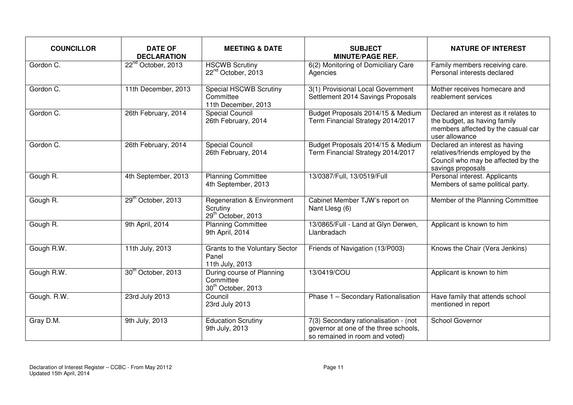| <b>COUNCILLOR</b> | <b>DATE OF</b><br><b>DECLARATION</b> | <b>MEETING &amp; DATE</b>                                                           | <b>SUBJECT</b><br><b>MINUTE/PAGE REF.</b>                                                                        | <b>NATURE OF INTEREST</b>                                                                                                      |
|-------------------|--------------------------------------|-------------------------------------------------------------------------------------|------------------------------------------------------------------------------------------------------------------|--------------------------------------------------------------------------------------------------------------------------------|
| Gordon C.         | 22 <sup>nd</sup> October, 2013       | <b>HSCWB Scrutiny</b><br>22 <sup>nd</sup> October, 2013                             | 6(2) Monitoring of Domiciliary Care<br>Agencies                                                                  | Family members receiving care.<br>Personal interests declared                                                                  |
| Gordon C.         | 11th December, 2013                  | <b>Special HSCWB Scrutiny</b><br>Committee<br>11th December, 2013                   | 3(1) Provisional Local Government<br>Settlement 2014 Savings Proposals                                           | Mother receives homecare and<br>reablement services                                                                            |
| Gordon C.         | 26th February, 2014                  | <b>Special Council</b><br>26th February, 2014                                       | Budget Proposals 2014/15 & Medium<br>Term Financial Strategy 2014/2017                                           | Declared an interest as it relates to<br>the budget, as having family<br>members affected by the casual car<br>user allowance  |
| Gordon C.         | 26th February, 2014                  | <b>Special Council</b><br>26th February, 2014                                       | Budget Proposals 2014/15 & Medium<br>Term Financial Strategy 2014/2017                                           | Declared an interest as having<br>relatives/friends employed by the<br>Council who may be affected by the<br>savings proposals |
| Gough R.          | 4th September, 2013                  | <b>Planning Committee</b><br>4th September, 2013                                    | 13/0387/Full, 13/0519/Full                                                                                       | Personal interest. Applicants<br>Members of same political party.                                                              |
| Gough R.          | 29 <sup>th</sup> October, 2013       | <b>Regeneration &amp; Environment</b><br>Scrutiny<br>29 <sup>th</sup> October, 2013 | Cabinet Member TJW's report on<br>Nant Llesg (6)                                                                 | Member of the Planning Committee                                                                                               |
| Gough R.          | 9th April, 2014                      | <b>Planning Committee</b><br>9th April, 2014                                        | 13/0865/Full - Land at Glyn Derwen,<br>Llanbradach                                                               | Applicant is known to him                                                                                                      |
| Gough R.W.        | 11th July, 2013                      | Grants to the Voluntary Sector<br>Panel<br>11th July, 2013                          | Friends of Navigation (13/P003)                                                                                  | Knows the Chair (Vera Jenkins)                                                                                                 |
| Gough R.W.        | 30 <sup>th</sup> October, 2013       | During course of Planning<br>Committee<br>30 <sup>th</sup> October, 2013            | 13/0419/COU                                                                                                      | Applicant is known to him                                                                                                      |
| Gough. R.W.       | 23rd July 2013                       | Council<br>23rd July 2013                                                           | Phase 1 - Secondary Rationalisation                                                                              | Have family that attends school<br>mentioned in report                                                                         |
| Gray D.M.         | 9th July, 2013                       | <b>Education Scrutiny</b><br>9th July, 2013                                         | 7(3) Secondary rationalisation - (not<br>governor at one of the three schools,<br>so remained in room and voted) | School Governor                                                                                                                |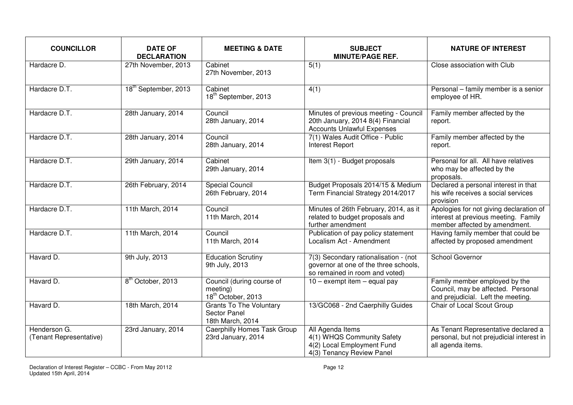| <b>COUNCILLOR</b>                       | <b>DATE OF</b><br><b>DECLARATION</b> | <b>MEETING &amp; DATE</b>                                                 | <b>SUBJECT</b><br><b>MINUTE/PAGE REF.</b>                                                                        | <b>NATURE OF INTEREST</b>                                                                                        |
|-----------------------------------------|--------------------------------------|---------------------------------------------------------------------------|------------------------------------------------------------------------------------------------------------------|------------------------------------------------------------------------------------------------------------------|
| Hardacre D.                             | 27th November, 2013                  | Cabinet<br>27th November, 2013                                            | 5(1)                                                                                                             | Close association with Club                                                                                      |
| Hardacre D.T.                           | 18 <sup>th</sup> September, 2013     | Cabinet<br>18 <sup>th</sup> September, 2013                               | 4(1)                                                                                                             | Personal - family member is a senior<br>employee of HR.                                                          |
| Hardacre D.T.                           | 28th January, 2014                   | Council<br>28th January, 2014                                             | Minutes of previous meeting - Council<br>20th January, 2014 8(4) Financial<br><b>Accounts Unlawful Expenses</b>  | Family member affected by the<br>report.                                                                         |
| Hardacre D.T.                           | 28th January, 2014                   | Council<br>28th January, 2014                                             | 7(1) Wales Audit Office - Public<br><b>Interest Report</b>                                                       | Family member affected by the<br>report.                                                                         |
| Hardacre D.T.                           | 29th January, 2014                   | Cabinet<br>29th January, 2014                                             | Item 3(1) - Budget proposals                                                                                     | Personal for all. All have relatives<br>who may be affected by the<br>proposals.                                 |
| Hardacre D.T.                           | 26th February, 2014                  | <b>Special Council</b><br>26th February, 2014                             | Budget Proposals 2014/15 & Medium<br>Term Financial Strategy 2014/2017                                           | Declared a personal interest in that<br>his wife receives a social services<br>provision                         |
| Hardacre D.T.                           | 11th March, 2014                     | Council<br>11th March, 2014                                               | Minutes of 26th February, 2014, as it<br>related to budget proposals and<br>further amendment                    | Apologies for not giving declaration of<br>interest at previous meeting. Family<br>member affected by amendment. |
| Hardacre D.T.                           | 11th March, 2014                     | Council<br>11th March, 2014                                               | Publication of pay policy statement<br>Localism Act - Amendment                                                  | Having family member that could be<br>affected by proposed amendment                                             |
| Havard D.                               | 9th July, 2013                       | <b>Education Scrutiny</b><br>9th July, 2013                               | 7(3) Secondary rationalisation - (not<br>governor at one of the three schools,<br>so remained in room and voted) | School Governor                                                                                                  |
| Havard D.                               | 8 <sup>th</sup> October, 2013        | Council (during course of<br>meeting)<br>18 <sup>th</sup> October, 2013   | $10 -$ exempt item $-$ equal pay                                                                                 | Family member employed by the<br>Council, may be affected. Personal<br>and prejudicial. Left the meeting.        |
| Havard D.                               | 18th March, 2014                     | <b>Grants To The Voluntary</b><br><b>Sector Panel</b><br>18th March, 2014 | 13/GC068 - 2nd Caerphilly Guides                                                                                 | Chair of Local Scout Group                                                                                       |
| Henderson G.<br>(Tenant Representative) | 23rd January, 2014                   | <b>Caerphilly Homes Task Group</b><br>23rd January, 2014                  | All Agenda Items<br>4(1) WHQS Community Safety<br>4(2) Local Employment Fund<br>4(3) Tenancy Review Panel        | As Tenant Representative declared a<br>personal, but not prejudicial interest in<br>all agenda items.            |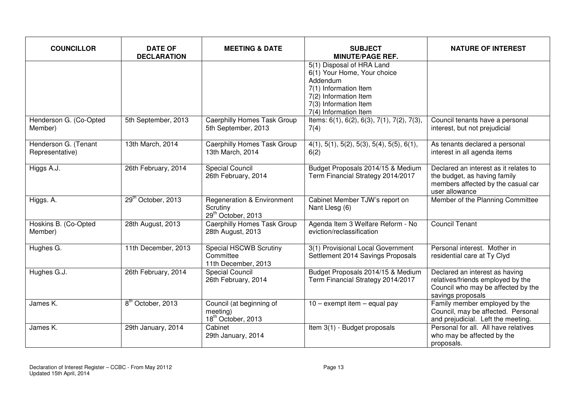| <b>COUNCILLOR</b>                       | <b>DATE OF</b><br><b>DECLARATION</b> | <b>MEETING &amp; DATE</b>                                                           | <b>SUBJECT</b><br><b>MINUTE/PAGE REF.</b>                                                                                                                                | <b>NATURE OF INTEREST</b>                                                                                                      |
|-----------------------------------------|--------------------------------------|-------------------------------------------------------------------------------------|--------------------------------------------------------------------------------------------------------------------------------------------------------------------------|--------------------------------------------------------------------------------------------------------------------------------|
|                                         |                                      |                                                                                     | 5(1) Disposal of HRA Land<br>6(1) Your Home, Your choice<br>Addendum<br>7(1) Information Item<br>7(2) Information Item<br>7(3) Information Item<br>7(4) Information Item |                                                                                                                                |
| Henderson G. (Co-Opted<br>Member)       | 5th September, 2013                  | <b>Caerphilly Homes Task Group</b><br>5th September, 2013                           | Items: 6(1), 6(2), 6(3), 7(1), 7(2), 7(3),<br>7(4)                                                                                                                       | Council tenants have a personal<br>interest, but not prejudicial                                                               |
| Henderson G. (Tenant<br>Representative) | 13th March, 2014                     | <b>Caerphilly Homes Task Group</b><br>13th March, 2014                              | $4(1), 5(1), 5(2), 5(3), 5(4), 5(5), 6(1),$<br>6(2)                                                                                                                      | As tenants declared a personal<br>interest in all agenda items                                                                 |
| Higgs A.J.                              | 26th February, 2014                  | <b>Special Council</b><br>26th February, 2014                                       | Budget Proposals 2014/15 & Medium<br>Term Financial Strategy 2014/2017                                                                                                   | Declared an interest as it relates to<br>the budget, as having family<br>members affected by the casual car<br>user allowance  |
| Higgs. A.                               | 29 <sup>th</sup> October, 2013       | <b>Regeneration &amp; Environment</b><br>Scrutiny<br>29 <sup>th</sup> October, 2013 | Cabinet Member TJW's report on<br>Nant Llesg (6)                                                                                                                         | Member of the Planning Committee                                                                                               |
| Hoskins B. (Co-Opted<br>Member)         | 28th August, 2013                    | <b>Caerphilly Homes Task Group</b><br>28th August, 2013                             | Agenda Item 3 Welfare Reform - No<br>eviction/reclassification                                                                                                           | <b>Council Tenant</b>                                                                                                          |
| Hughes G.                               | 11th December, 2013                  | Special HSCWB Scrutiny<br>Committee<br>11th December, 2013                          | 3(1) Provisional Local Government<br>Settlement 2014 Savings Proposals                                                                                                   | Personal interest. Mother in<br>residential care at Ty Clyd                                                                    |
| Hughes G.J.                             | 26th February, 2014                  | <b>Special Council</b><br>26th February, 2014                                       | Budget Proposals 2014/15 & Medium<br>Term Financial Strategy 2014/2017                                                                                                   | Declared an interest as having<br>relatives/friends employed by the<br>Council who may be affected by the<br>savings proposals |
| James K.                                | 8 <sup>th</sup> October, 2013        | Council (at beginning of<br>meeting)<br>18 <sup>th</sup> October, 2013              | $10 -$ exempt item $-$ equal pay                                                                                                                                         | Family member employed by the<br>Council, may be affected. Personal<br>and prejudicial. Left the meeting.                      |
| James K.                                | 29th January, 2014                   | Cabinet<br>29th January, 2014                                                       | Item 3(1) - Budget proposals                                                                                                                                             | Personal for all. All have relatives<br>who may be affected by the<br>proposals.                                               |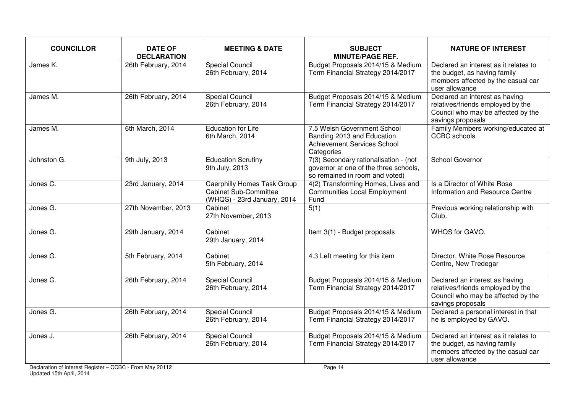| <b>COUNCILLOR</b>      | <b>DATE OF</b><br><b>DECLARATION</b> | <b>MEETING &amp; DATE</b>                                                                         | <b>SUBJECT</b><br><b>MINUTE/PAGE REF.</b>                                                                        | <b>NATURE OF INTEREST</b>                                                                                                      |
|------------------------|--------------------------------------|---------------------------------------------------------------------------------------------------|------------------------------------------------------------------------------------------------------------------|--------------------------------------------------------------------------------------------------------------------------------|
| James K.               | 26th February, 2014                  | <b>Special Council</b><br>26th February, 2014                                                     | Budget Proposals 2014/15 & Medium<br>Term Financial Strategy 2014/2017                                           | Declared an interest as it relates to<br>the budget, as having family<br>members affected by the casual car<br>user allowance  |
| James M.               | 26th February, 2014                  | <b>Special Council</b><br>26th February, 2014                                                     | Budget Proposals 2014/15 & Medium<br>Term Financial Strategy 2014/2017                                           | Declared an interest as having<br>relatives/friends employed by the<br>Council who may be affected by the<br>savings proposals |
| James M.               | 6th March, 2014                      | <b>Education for Life</b><br>6th March, 2014                                                      | 7.5 Welsh Government School<br>Banding 2013 and Education<br>Achievement Services School<br>Categories           | Family Members working/educated at<br><b>CCBC</b> schools                                                                      |
| Johnston G.            | 9th July, 2013                       | <b>Education Scrutiny</b><br>9th July, 2013                                                       | 7(3) Secondary rationalisation - (not<br>governor at one of the three schools,<br>so remained in room and voted) | School Governor                                                                                                                |
| Jones C.               | 23rd January, 2014                   | <b>Caerphilly Homes Task Group</b><br><b>Cabinet Sub-Committee</b><br>(WHQS) - 23rd January, 2014 | 4(2) Transforming Homes, Lives and<br><b>Communities Local Employment</b><br>Fund                                | Is a Director of White Rose<br>Information and Resource Centre                                                                 |
| Jones G.               | 27th November, 2013                  | Cabinet<br>27th November, 2013                                                                    | 5(1)                                                                                                             | Previous working relationship with<br>Club.                                                                                    |
| Jones G.               | 29th January, 2014                   | Cabinet<br>29th January, 2014                                                                     | Item 3(1) - Budget proposals                                                                                     | WHQS for GAVO.                                                                                                                 |
| Jones G.               | 5th February, 2014                   | Cabinet<br>5th February, 2014                                                                     | 4.3 Left meeting for this item                                                                                   | Director, White Rose Resource<br>Centre, New Tredegar                                                                          |
| Jones G.               | 26th February, 2014                  | <b>Special Council</b><br>26th February, 2014                                                     | Budget Proposals 2014/15 & Medium<br>Term Financial Strategy 2014/2017                                           | Declared an interest as having<br>relatives/friends employed by the<br>Council who may be affected by the<br>savings proposals |
| Jones $\overline{G}$ . | 26th February, 2014                  | <b>Special Council</b><br>26th February, 2014                                                     | Budget Proposals 2014/15 & Medium<br>Term Financial Strategy 2014/2017                                           | Declared a personal interest in that<br>he is employed by GAVO.                                                                |
| Jones J.               | 26th February, 2014                  | <b>Special Council</b><br>26th February, 2014                                                     | Budget Proposals 2014/15 & Medium<br>Term Financial Strategy 2014/2017                                           | Declared an interest as it relates to<br>the budget, as having family<br>members affected by the casual car<br>user allowance  |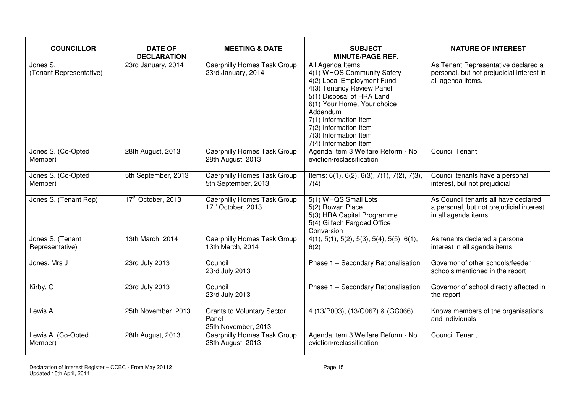| <b>COUNCILLOR</b>                   | <b>DATE OF</b><br><b>DECLARATION</b> | <b>MEETING &amp; DATE</b>                                            | <b>SUBJECT</b><br><b>MINUTE/PAGE REF.</b>                                                                                                                                                                                                                                             | <b>NATURE OF INTEREST</b>                                                                               |
|-------------------------------------|--------------------------------------|----------------------------------------------------------------------|---------------------------------------------------------------------------------------------------------------------------------------------------------------------------------------------------------------------------------------------------------------------------------------|---------------------------------------------------------------------------------------------------------|
| Jones S.<br>(Tenant Representative) | 23rd January, 2014                   | <b>Caerphilly Homes Task Group</b><br>23rd January, 2014             | All Agenda Items<br>4(1) WHQS Community Safety<br>4(2) Local Employment Fund<br>4(3) Tenancy Review Panel<br>5(1) Disposal of HRA Land<br>6(1) Your Home, Your choice<br>Addendum<br>7(1) Information Item<br>7(2) Information Item<br>7(3) Information Item<br>7(4) Information Item | As Tenant Representative declared a<br>personal, but not prejudicial interest in<br>all agenda items.   |
| Jones S. (Co-Opted<br>Member)       | 28th August, 2013                    | <b>Caerphilly Homes Task Group</b><br>28th August, 2013              | Agenda Item 3 Welfare Reform - No<br>eviction/reclassification                                                                                                                                                                                                                        | <b>Council Tenant</b>                                                                                   |
| Jones S. (Co-Opted<br>Member)       | 5th September, 2013                  | Caerphilly Homes Task Group<br>5th September, 2013                   | Items: $6(1)$ , $6(2)$ , $6(3)$ , $7(1)$ , $7(2)$ , $7(3)$ ,<br>7(4)                                                                                                                                                                                                                  | Council tenants have a personal<br>interest, but not prejudicial                                        |
| Jones S. (Tenant Rep)               | 17 <sup>th</sup> October, 2013       | <b>Caerphilly Homes Task Group</b><br>17 <sup>th</sup> October, 2013 | 5(1) WHQS Small Lots<br>5(2) Rowan Place<br>5(3) HRA Capital Programme<br>5(4) Gilfach Fargoed Office<br>Conversion                                                                                                                                                                   | As Council tenants all have declared<br>a personal, but not prejudicial interest<br>in all agenda items |
| Jones S. (Tenant<br>Representative) | 13th March, 2014                     | <b>Caerphilly Homes Task Group</b><br>13th March, 2014               | $4(1), 5(1), 5(2), 5(3), 5(4), 5(5), 6(1),$<br>6(2)                                                                                                                                                                                                                                   | As tenants declared a personal<br>interest in all agenda items                                          |
| Jones. Mrs J                        | 23rd July 2013                       | Council<br>23rd July 2013                                            | Phase 1 - Secondary Rationalisation                                                                                                                                                                                                                                                   | Governor of other schools/feeder<br>schools mentioned in the report                                     |
| Kirby, G                            | 23rd July 2013                       | Council<br>23rd July 2013                                            | Phase 1 - Secondary Rationalisation                                                                                                                                                                                                                                                   | Governor of school directly affected in<br>the report                                                   |
| Lewis A.                            | 25th November, 2013                  | <b>Grants to Voluntary Sector</b><br>Panel<br>25th November, 2013    | 4 (13/P003), (13/G067) & (GC066)                                                                                                                                                                                                                                                      | Knows members of the organisations<br>and individuals                                                   |
| Lewis A. (Co-Opted<br>Member)       | 28th August, 2013                    | <b>Caerphilly Homes Task Group</b><br>28th August, 2013              | Agenda Item 3 Welfare Reform - No<br>eviction/reclassification                                                                                                                                                                                                                        | <b>Council Tenant</b>                                                                                   |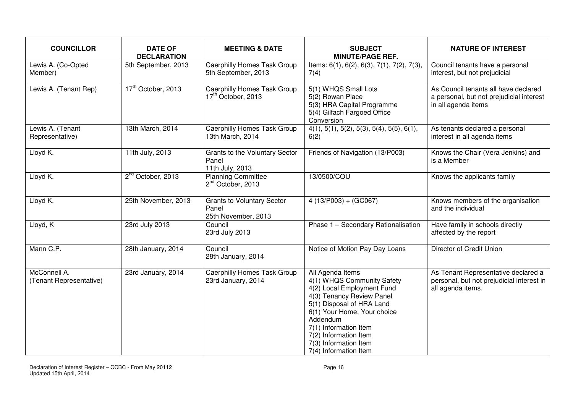| <b>COUNCILLOR</b>                       | <b>DATE OF</b><br><b>DECLARATION</b> | <b>MEETING &amp; DATE</b>                                            | <b>SUBJECT</b><br><b>MINUTE/PAGE REF.</b>                                                                                                                                                                                                                                             | <b>NATURE OF INTEREST</b>                                                                               |
|-----------------------------------------|--------------------------------------|----------------------------------------------------------------------|---------------------------------------------------------------------------------------------------------------------------------------------------------------------------------------------------------------------------------------------------------------------------------------|---------------------------------------------------------------------------------------------------------|
| Lewis A. (Co-Opted<br>Member)           | 5th September, 2013                  | <b>Caerphilly Homes Task Group</b><br>5th September, 2013            | Items: $6(1)$ , $6(2)$ , $6(3)$ , $7(1)$ , $7(2)$ , $7(3)$ ,<br>7(4)                                                                                                                                                                                                                  | Council tenants have a personal<br>interest, but not prejudicial                                        |
| Lewis A. (Tenant Rep)                   | 17 <sup>th</sup> October, 2013       | <b>Caerphilly Homes Task Group</b><br>17 <sup>th</sup> October, 2013 | 5(1) WHQS Small Lots<br>5(2) Rowan Place<br>5(3) HRA Capital Programme<br>5(4) Gilfach Fargoed Office<br>Conversion                                                                                                                                                                   | As Council tenants all have declared<br>a personal, but not prejudicial interest<br>in all agenda items |
| Lewis A. (Tenant<br>Representative)     | 13th March, 2014                     | <b>Caerphilly Homes Task Group</b><br>13th March, 2014               | $4(1), 5(1), 5(2), 5(3), 5(4), 5(5), 6(1),$<br>6(2)                                                                                                                                                                                                                                   | As tenants declared a personal<br>interest in all agenda items                                          |
| Lloyd K.                                | 11th July, 2013                      | Grants to the Voluntary Sector<br>Panel<br>11th July, 2013           | Friends of Navigation (13/P003)                                                                                                                                                                                                                                                       | Knows the Chair (Vera Jenkins) and<br>is a Member                                                       |
| Lloyd K.                                | 2 <sup>nd</sup> October, 2013        | <b>Planning Committee</b><br>2 <sup>nd</sup> October, 2013           | 13/0500/COU                                                                                                                                                                                                                                                                           | Knows the applicants family                                                                             |
| Lloyd K.                                | 25th November, 2013                  | <b>Grants to Voluntary Sector</b><br>Panel<br>25th November, 2013    | $4(13/P003) + (GCO67)$                                                                                                                                                                                                                                                                | Knows members of the organisation<br>and the individual                                                 |
| Lloyd, K                                | 23rd July 2013                       | Council<br>23rd July 2013                                            | Phase 1 - Secondary Rationalisation                                                                                                                                                                                                                                                   | Have family in schools directly<br>affected by the report                                               |
| Mann C.P.                               | 28th January, 2014                   | Council<br>28th January, 2014                                        | Notice of Motion Pay Day Loans                                                                                                                                                                                                                                                        | Director of Credit Union                                                                                |
| McConnell A.<br>(Tenant Representative) | 23rd January, 2014                   | <b>Caerphilly Homes Task Group</b><br>23rd January, 2014             | All Agenda Items<br>4(1) WHQS Community Safety<br>4(2) Local Employment Fund<br>4(3) Tenancy Review Panel<br>5(1) Disposal of HRA Land<br>6(1) Your Home, Your choice<br>Addendum<br>7(1) Information Item<br>7(2) Information Item<br>7(3) Information Item<br>7(4) Information Item | As Tenant Representative declared a<br>personal, but not prejudicial interest in<br>all agenda items.   |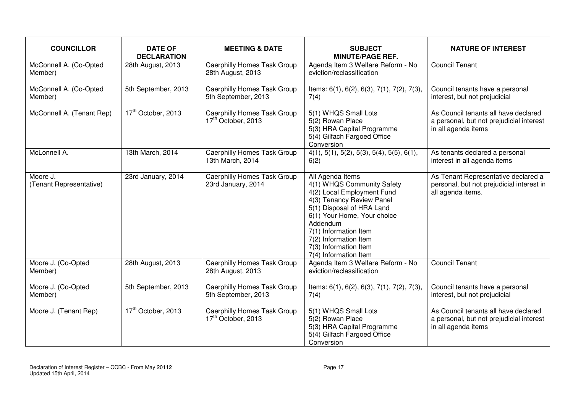| <b>COUNCILLOR</b>                   | <b>DATE OF</b><br><b>DECLARATION</b> | <b>MEETING &amp; DATE</b>                                            | <b>SUBJECT</b><br><b>MINUTE/PAGE REF.</b>                                                                                                                                                                                                                                             | <b>NATURE OF INTEREST</b>                                                                               |
|-------------------------------------|--------------------------------------|----------------------------------------------------------------------|---------------------------------------------------------------------------------------------------------------------------------------------------------------------------------------------------------------------------------------------------------------------------------------|---------------------------------------------------------------------------------------------------------|
| McConnell A. (Co-Opted<br>Member)   | 28th August, 2013                    | Caerphilly Homes Task Group<br>28th August, 2013                     | Agenda Item 3 Welfare Reform - No<br>eviction/reclassification                                                                                                                                                                                                                        | <b>Council Tenant</b>                                                                                   |
| McConnell A. (Co-Opted<br>Member)   | 5th September, 2013                  | <b>Caerphilly Homes Task Group</b><br>5th September, 2013            | Items: 6(1), 6(2), 6(3), 7(1), 7(2), 7(3),<br>7(4)                                                                                                                                                                                                                                    | Council tenants have a personal<br>interest, but not prejudicial                                        |
| McConnell A. (Tenant Rep)           | 17 <sup>th</sup> October, 2013       | <b>Caerphilly Homes Task Group</b><br>17 <sup>th</sup> October, 2013 | 5(1) WHQS Small Lots<br>5(2) Rowan Place<br>5(3) HRA Capital Programme<br>5(4) Gilfach Fargoed Office<br>Conversion                                                                                                                                                                   | As Council tenants all have declared<br>a personal, but not prejudicial interest<br>in all agenda items |
| McLonnell A.                        | 13th March, 2014                     | <b>Caerphilly Homes Task Group</b><br>13th March, 2014               | $4(1), 5(1), 5(2), 5(3), 5(4), 5(5), 6(1),$<br>6(2)                                                                                                                                                                                                                                   | As tenants declared a personal<br>interest in all agenda items                                          |
| Moore J.<br>(Tenant Representative) | 23rd January, 2014                   | <b>Caerphilly Homes Task Group</b><br>23rd January, 2014             | All Agenda Items<br>4(1) WHQS Community Safety<br>4(2) Local Employment Fund<br>4(3) Tenancy Review Panel<br>5(1) Disposal of HRA Land<br>6(1) Your Home, Your choice<br>Addendum<br>7(1) Information Item<br>7(2) Information Item<br>7(3) Information Item<br>7(4) Information Item | As Tenant Representative declared a<br>personal, but not prejudicial interest in<br>all agenda items.   |
| Moore J. (Co-Opted<br>Member)       | 28th August, 2013                    | <b>Caerphilly Homes Task Group</b><br>28th August, 2013              | Agenda Item 3 Welfare Reform - No<br>eviction/reclassification                                                                                                                                                                                                                        | <b>Council Tenant</b>                                                                                   |
| Moore J. (Co-Opted<br>Member)       | 5th September, 2013                  | <b>Caerphilly Homes Task Group</b><br>5th September, 2013            | Items: 6(1), 6(2), 6(3), 7(1), 7(2), 7(3),<br>7(4)                                                                                                                                                                                                                                    | Council tenants have a personal<br>interest, but not prejudicial                                        |
| Moore J. (Tenant Rep)               | 17 <sup>th</sup> October, 2013       | <b>Caerphilly Homes Task Group</b><br>17th October, 2013             | 5(1) WHQS Small Lots<br>5(2) Rowan Place<br>5(3) HRA Capital Programme<br>5(4) Gilfach Fargoed Office<br>Conversion                                                                                                                                                                   | As Council tenants all have declared<br>a personal, but not prejudicial interest<br>in all agenda items |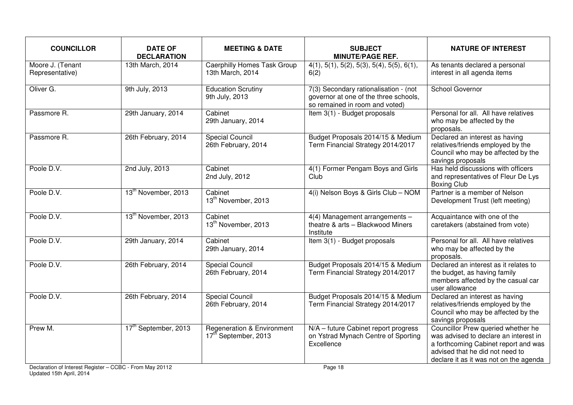| <b>COUNCILLOR</b>                   | <b>DATE OF</b><br><b>DECLARATION</b> | <b>MEETING &amp; DATE</b>                                                 | <b>SUBJECT</b><br><b>MINUTE/PAGE REF.</b>                                                                        | <b>NATURE OF INTEREST</b>                                                                                                                                                                        |
|-------------------------------------|--------------------------------------|---------------------------------------------------------------------------|------------------------------------------------------------------------------------------------------------------|--------------------------------------------------------------------------------------------------------------------------------------------------------------------------------------------------|
| Moore J. (Tenant<br>Representative) | 13th March, 2014                     | <b>Caerphilly Homes Task Group</b><br>13th March, 2014                    | $4(1), 5(1), 5(2), 5(3), 5(4), 5(5), 6(1),$<br>6(2)                                                              | As tenants declared a personal<br>interest in all agenda items                                                                                                                                   |
| Oliver G.                           | 9th July, 2013                       | <b>Education Scrutiny</b><br>9th July, 2013                               | 7(3) Secondary rationalisation - (not<br>governor at one of the three schools,<br>so remained in room and voted) | <b>School Governor</b>                                                                                                                                                                           |
| Passmore R.                         | 29th January, 2014                   | Cabinet<br>29th January, 2014                                             | Item 3(1) - Budget proposals                                                                                     | Personal for all. All have relatives<br>who may be affected by the<br>proposals.                                                                                                                 |
| Passmore R.                         | 26th February, 2014                  | <b>Special Council</b><br>26th February, 2014                             | Budget Proposals 2014/15 & Medium<br>Term Financial Strategy 2014/2017                                           | Declared an interest as having<br>relatives/friends employed by the<br>Council who may be affected by the<br>savings proposals                                                                   |
| Poole D.V.                          | 2nd July, 2013                       | Cabinet<br>2nd July, 2012                                                 | 4(1) Former Pengam Boys and Girls<br>Club                                                                        | Has held discussions with officers<br>and representatives of Fleur De Lys<br><b>Boxing Club</b>                                                                                                  |
| Poole D.V.                          | 13 <sup>th</sup> November, 2013      | Cabinet<br>13 <sup>th</sup> November, 2013                                | 4(i) Nelson Boys & Girls Club - NOM                                                                              | Partner is a member of Nelson<br>Development Trust (left meeting)                                                                                                                                |
| Poole D.V.                          | 13 <sup>th</sup> November, 2013      | Cabinet<br>13 <sup>th</sup> November, 2013                                | 4(4) Management arrangements -<br>theatre & arts - Blackwood Miners<br>Institute                                 | Acquaintance with one of the<br>caretakers (abstained from vote)                                                                                                                                 |
| Poole D.V.                          | 29th January, 2014                   | Cabinet<br>29th January, 2014                                             | Item 3(1) - Budget proposals                                                                                     | Personal for all. All have relatives<br>who may be affected by the<br>proposals.                                                                                                                 |
| Poole D.V.                          | 26th February, 2014                  | <b>Special Council</b><br>26th February, 2014                             | Budget Proposals 2014/15 & Medium<br>Term Financial Strategy 2014/2017                                           | Declared an interest as it relates to<br>the budget, as having family<br>members affected by the casual car<br>user allowance                                                                    |
| Poole D.V.                          | 26th February, 2014                  | <b>Special Council</b><br>26th February, 2014                             | Budget Proposals 2014/15 & Medium<br>Term Financial Strategy 2014/2017                                           | Declared an interest as having<br>relatives/friends employed by the<br>Council who may be affected by the<br>savings proposals                                                                   |
| Prew M.                             | 17 <sup>th</sup> September, 2013     | <b>Regeneration &amp; Environment</b><br>17 <sup>th</sup> September, 2013 | N/A - future Cabinet report progress<br>on Ystrad Mynach Centre of Sporting<br>Excellence                        | Councillor Prew queried whether he<br>was advised to declare an interest in<br>a forthcoming Cabinet report and was<br>advised that he did not need to<br>declare it as it was not on the agenda |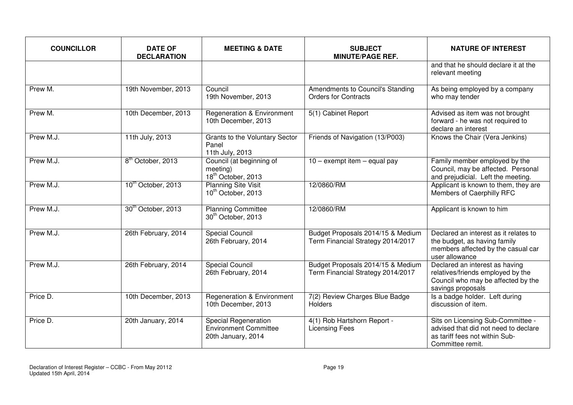| <b>COUNCILLOR</b> | <b>DATE OF</b><br><b>DECLARATION</b> | <b>MEETING &amp; DATE</b>                                                  | <b>SUBJECT</b><br><b>MINUTE/PAGE REF.</b>                              | <b>NATURE OF INTEREST</b>                                                                                                       |
|-------------------|--------------------------------------|----------------------------------------------------------------------------|------------------------------------------------------------------------|---------------------------------------------------------------------------------------------------------------------------------|
|                   |                                      |                                                                            |                                                                        | and that he should declare it at the<br>relevant meeting                                                                        |
| Prew M.           | 19th November, 2013                  | Council<br>19th November, 2013                                             | Amendments to Council's Standing<br><b>Orders for Contracts</b>        | As being employed by a company<br>who may tender                                                                                |
| Prew M.           | 10th December, 2013                  | <b>Regeneration &amp; Environment</b><br>10th December, 2013               | 5(1) Cabinet Report                                                    | Advised as item was not brought<br>forward - he was not required to<br>declare an interest                                      |
| Prew M.J.         | 11th July, 2013                      | Grants to the Voluntary Sector<br>Panel<br>11th July, 2013                 | Friends of Navigation (13/P003)                                        | Knows the Chair (Vera Jenkins)                                                                                                  |
| Prew M.J.         | 8 <sup>th</sup> October, 2013        | Council (at beginning of<br>meeting)<br>18 <sup>th</sup> October, 2013     | 10 - exempt item - equal pay                                           | Family member employed by the<br>Council, may be affected. Personal<br>and prejudicial. Left the meeting.                       |
| Prew M.J.         | 10 <sup>th</sup> October, 2013       | <b>Planning Site Visit</b><br>10 <sup>th</sup> October, 2013               | 12/0860/RM                                                             | Applicant is known to them, they are<br>Members of Caerphilly RFC                                                               |
| Prew M.J.         | 30 <sup>th</sup> October, 2013       | <b>Planning Committee</b><br>30 <sup>th</sup> October, 2013                | 12/0860/RM                                                             | Applicant is known to him                                                                                                       |
| Prew M.J.         | 26th February, 2014                  | <b>Special Council</b><br>26th February, 2014                              | Budget Proposals 2014/15 & Medium<br>Term Financial Strategy 2014/2017 | Declared an interest as it relates to<br>the budget, as having family<br>members affected by the casual car<br>user allowance   |
| Prew M.J.         | 26th February, 2014                  | <b>Special Council</b><br>26th February, 2014                              | Budget Proposals 2014/15 & Medium<br>Term Financial Strategy 2014/2017 | Declared an interest as having<br>relatives/friends employed by the<br>Council who may be affected by the<br>savings proposals  |
| Price D.          | 10th December, 2013                  | <b>Regeneration &amp; Environment</b><br>10th December, 2013               | 7(2) Review Charges Blue Badge<br><b>Holders</b>                       | Is a badge holder. Left during<br>discussion of item.                                                                           |
| Price D.          | 20th January, 2014                   | <b>Special Regeneration</b><br>Environment Committee<br>20th January, 2014 | 4(1) Rob Hartshorn Report -<br><b>Licensing Fees</b>                   | Sits on Licensing Sub-Committee -<br>advised that did not need to declare<br>as tariff fees not within Sub-<br>Committee remit. |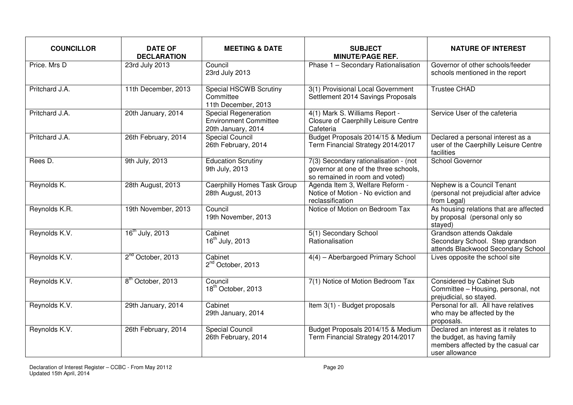| <b>COUNCILLOR</b> | <b>DATE OF</b><br><b>DECLARATION</b> | <b>MEETING &amp; DATE</b>                                                  | <b>SUBJECT</b><br><b>MINUTE/PAGE REF.</b>                                                                        | <b>NATURE OF INTEREST</b>                                                                                                     |
|-------------------|--------------------------------------|----------------------------------------------------------------------------|------------------------------------------------------------------------------------------------------------------|-------------------------------------------------------------------------------------------------------------------------------|
| Price, Mrs D      | 23rd July 2013                       | Council<br>23rd July 2013                                                  | Phase 1 - Secondary Rationalisation                                                                              | Governor of other schools/feeder<br>schools mentioned in the report                                                           |
| Pritchard J.A.    | 11th December, 2013                  | Special HSCWB Scrutiny<br>Committee<br>11th December, 2013                 | 3(1) Provisional Local Government<br>Settlement 2014 Savings Proposals                                           | <b>Trustee CHAD</b>                                                                                                           |
| Pritchard J.A.    | 20th January, 2014                   | Special Regeneration<br><b>Environment Committee</b><br>20th January, 2014 | 4(1) Mark S. Williams Report -<br>Closure of Caerphilly Leisure Centre<br>Cafeteria                              | Service User of the cafeteria                                                                                                 |
| Pritchard J.A.    | 26th February, 2014                  | <b>Special Council</b><br>26th February, 2014                              | Budget Proposals 2014/15 & Medium<br>Term Financial Strategy 2014/2017                                           | Declared a personal interest as a<br>user of the Caerphilly Leisure Centre<br>facilities                                      |
| Rees D.           | 9th July, 2013                       | <b>Education Scrutiny</b><br>9th July, 2013                                | 7(3) Secondary rationalisation - (not<br>governor at one of the three schools,<br>so remained in room and voted) | School Governor                                                                                                               |
| Reynolds K.       | 28th August, 2013                    | <b>Caerphilly Homes Task Group</b><br>28th August, 2013                    | Agenda Item 3, Welfare Reform -<br>Notice of Motion - No eviction and<br>reclassification                        | Nephew is a Council Tenant<br>(personal not prejudicial after advice<br>from Legal)                                           |
| Reynolds K.R.     | 19th November, 2013                  | Council<br>19th November, 2013                                             | Notice of Motion on Bedroom Tax                                                                                  | As housing relations that are affected<br>by proposal (personal only so<br>stayed)                                            |
| Reynolds K.V.     | 16 <sup>th</sup> July, 2013          | Cabinet<br>16 <sup>th</sup> July, 2013                                     | 5(1) Secondary School<br>Rationalisation                                                                         | Grandson attends Oakdale<br>Secondary School. Step grandson<br>attends Blackwood Secondary School                             |
| Reynolds K.V.     | 2 <sup>nd</sup> October, 2013        | Cabinet<br>2 <sup>nd</sup> October, 2013                                   | 4(4) - Aberbargoed Primary School                                                                                | Lives opposite the school site                                                                                                |
| Reynolds K.V.     | 8 <sup>th</sup> October, 2013        | Council<br>18 <sup>th</sup> October, 2013                                  | 7(1) Notice of Motion Bedroom Tax                                                                                | Considered by Cabinet Sub<br>Committee - Housing, personal, not<br>prejudicial, so stayed.                                    |
| Reynolds K.V.     | 29th January, 2014                   | Cabinet<br>29th January, 2014                                              | Item 3(1) - Budget proposals                                                                                     | Personal for all. All have relatives<br>who may be affected by the<br>proposals.                                              |
| Reynolds K.V.     | 26th February, 2014                  | <b>Special Council</b><br>26th February, 2014                              | Budget Proposals 2014/15 & Medium<br>Term Financial Strategy 2014/2017                                           | Declared an interest as it relates to<br>the budget, as having family<br>members affected by the casual car<br>user allowance |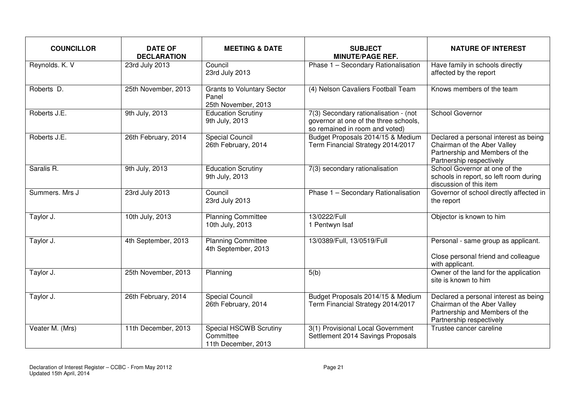| <b>COUNCILLOR</b> | <b>DATE OF</b><br><b>DECLARATION</b> | <b>MEETING &amp; DATE</b>                                         | <b>SUBJECT</b><br><b>MINUTE/PAGE REF.</b>                                                                        | <b>NATURE OF INTEREST</b>                                                                                                          |
|-------------------|--------------------------------------|-------------------------------------------------------------------|------------------------------------------------------------------------------------------------------------------|------------------------------------------------------------------------------------------------------------------------------------|
| Reynolds. K. V    | 23rd July 2013                       | Council<br>23rd July 2013                                         | Phase 1 - Secondary Rationalisation                                                                              | Have family in schools directly<br>affected by the report                                                                          |
| Roberts D.        | 25th November, 2013                  | <b>Grants to Voluntary Sector</b><br>Panel<br>25th November, 2013 | (4) Nelson Cavaliers Football Team                                                                               | Knows members of the team                                                                                                          |
| Roberts J.E.      | 9th July, 2013                       | <b>Education Scrutiny</b><br>9th July, 2013                       | 7(3) Secondary rationalisation - (not<br>governor at one of the three schools,<br>so remained in room and voted) | School Governor                                                                                                                    |
| Roberts J.E.      | 26th February, 2014                  | <b>Special Council</b><br>26th February, 2014                     | Budget Proposals 2014/15 & Medium<br>Term Financial Strategy 2014/2017                                           | Declared a personal interest as being<br>Chairman of the Aber Valley<br>Partnership and Members of the<br>Partnership respectively |
| Saralis R.        | 9th July, 2013                       | <b>Education Scrutiny</b><br>9th July, 2013                       | 7(3) secondary rationalisation                                                                                   | School Governor at one of the<br>schools in report, so left room during<br>discussion of this item                                 |
| Summers. Mrs J    | 23rd July 2013                       | Council<br>23rd July 2013                                         | Phase 1 - Secondary Rationalisation                                                                              | Governor of school directly affected in<br>the report                                                                              |
| Taylor J.         | 10th July, 2013                      | <b>Planning Committee</b><br>10th July, 2013                      | 13/0222/Full<br>1 Pentwyn Isaf                                                                                   | Objector is known to him                                                                                                           |
| Taylor J.         | 4th September, 2013                  | <b>Planning Committee</b><br>4th September, 2013                  | 13/0389/Full, 13/0519/Full                                                                                       | Personal - same group as applicant.<br>Close personal friend and colleague<br>with applicant.                                      |
| Taylor J.         | 25th November, 2013                  | Planning                                                          | 5(b)                                                                                                             | Owner of the land for the application<br>site is known to him                                                                      |
| Taylor J.         | 26th February, 2014                  | <b>Special Council</b><br>26th February, 2014                     | Budget Proposals 2014/15 & Medium<br>Term Financial Strategy 2014/2017                                           | Declared a personal interest as being<br>Chairman of the Aber Valley<br>Partnership and Members of the<br>Partnership respectively |
| Veater M. (Mrs)   | 11th December, 2013                  | Special HSCWB Scrutiny<br>Committee<br>11th December, 2013        | 3(1) Provisional Local Government<br>Settlement 2014 Savings Proposals                                           | Trustee cancer careline                                                                                                            |